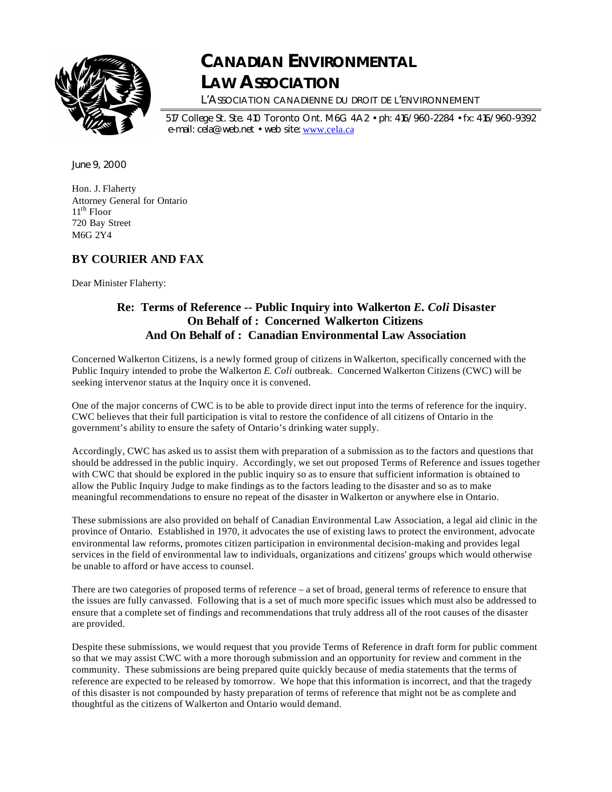

# **CANADIAN ENVIRONMENTAL LAW ASSOCIATION**

L'ASSOCIATION CANADIENNE DU DROIT DE L'ENVIRONNEMENT

517 College St. Ste. 410 Toronto Ont. M6G 4A2 • ph: 416/960-2284 • fx: 416/960-9392 e-mail: cela@web.net • web site: www.cela.ca

June 9, 2000

Hon. J. Flaherty Attorney General for Ontario  $11<sup>th</sup>$  Floor 720 Bay Street M6G 2Y4

# **BY COURIER AND FAX**

Dear Minister Flaherty:

# **Re: Terms of Reference -- Public Inquiry into Walkerton** *E. Coli* **Disaster On Behalf of : Concerned Walkerton Citizens And On Behalf of : Canadian Environmental Law Association**

Concerned Walkerton Citizens, is a newly formed group of citizens in Walkerton, specifically concerned with the Public Inquiry intended to probe the Walkerton *E. Coli* outbreak. Concerned Walkerton Citizens (CWC) will be seeking intervenor status at the Inquiry once it is convened.

One of the major concerns of CWC is to be able to provide direct input into the terms of reference for the inquiry. CWC believes that their full participation is vital to restore the confidence of all citizens of Ontario in the government's ability to ensure the safety of Ontario's drinking water supply.

Accordingly, CWC has asked us to assist them with preparation of a submission as to the factors and questions that should be addressed in the public inquiry. Accordingly, we set out proposed Terms of Reference and issues together with CWC that should be explored in the public inquiry so as to ensure that sufficient information is obtained to allow the Public Inquiry Judge to make findings as to the factors leading to the disaster and so as to make meaningful recommendations to ensure no repeat of the disaster in Walkerton or anywhere else in Ontario.

These submissions are also provided on behalf of Canadian Environmental Law Association, a legal aid clinic in the province of Ontario. Established in 1970, it advocates the use of existing laws to protect the environment, advocate environmental law reforms, promotes citizen participation in environmental decision-making and provides legal services in the field of environmental law to individuals, organizations and citizens' groups which would otherwise be unable to afford or have access to counsel.

There are two categories of proposed terms of reference – a set of broad, general terms of reference to ensure that the issues are fully canvassed. Following that is a set of much more specific issues which must also be addressed to ensure that a complete set of findings and recommendations that truly address all of the root causes of the disaster are provided.

Despite these submissions, we would request that you provide Terms of Reference in draft form for public comment so that we may assist CWC with a more thorough submission and an opportunity for review and comment in the community. These submissions are being prepared quite quickly because of media statements that the terms of reference are expected to be released by tomorrow. We hope that this information is incorrect, and that the tragedy of this disaster is not compounded by hasty preparation of terms of reference that might not be as complete and thoughtful as the citizens of Walkerton and Ontario would demand.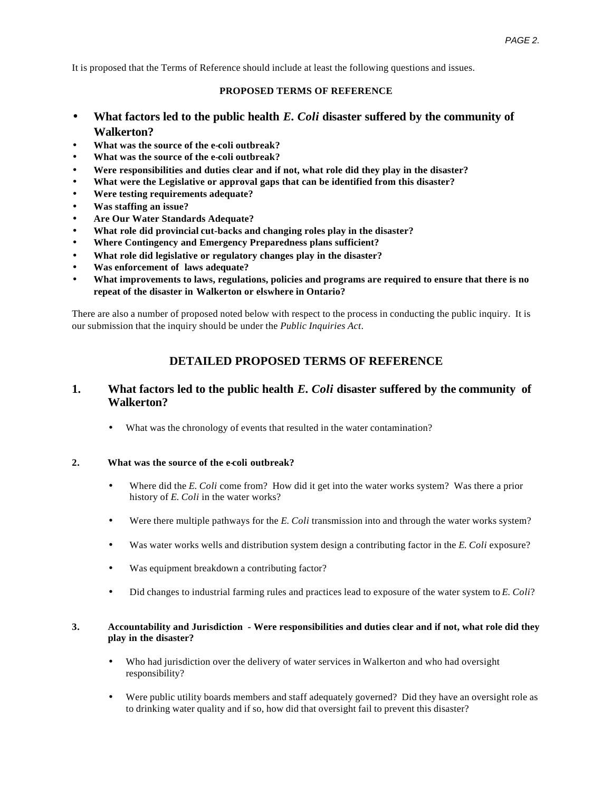It is proposed that the Terms of Reference should include at least the following questions and issues.

# **PROPOSED TERMS OF REFERENCE**

- **What factors led to the public health** *E. Coli* **disaster suffered by the community of Walkerton?**
- **What was the source of the e-coli outbreak?**
- **What was the source of the e-coli outbreak?**
- **Were responsibilities and duties clear and if not, what role did they play in the disaster?**
- **What were the Legislative or approval gaps that can be identified from this disaster?**
- **Were testing requirements adequate?**
- **Was staffing an issue?**
- **Are Our Water Standards Adequate?**
- **What role did provincial cut-backs and changing roles play in the disaster?**
- **Where Contingency and Emergency Preparedness plans sufficient?**
- **What role did legislative or regulatory changes play in the disaster?**
- **Was enforcement of laws adequate?**
- **What improvements to laws, regulations, policies and programs are required to ensure that there is no repeat of the disaster in Walkerton or elswhere in Ontario?**

There are also a number of proposed noted below with respect to the process in conducting the public inquiry. It is our submission that the inquiry should be under the *Public Inquiries Act*.

# **DETAILED PROPOSED TERMS OF REFERENCE**

# **1. What factors led to the public health** *E. Coli* **disaster suffered by the community of Walkerton?**

• What was the chronology of events that resulted in the water contamination?

# **2. What was the source of the e-coli outbreak?**

- Where did the *E. Coli* come from? How did it get into the water works system? Was there a prior history of *E. Coli* in the water works?
- Were there multiple pathways for the *E. Coli* transmission into and through the water works system?
- Was water works wells and distribution system design a contributing factor in the *E. Coli* exposure?
- Was equipment breakdown a contributing factor?
- Did changes to industrial farming rules and practices lead to exposure of the water system to *E. Coli*?

# **3. Accountability and Jurisdiction - Were responsibilities and duties clear and if not, what role did they play in the disaster?**

- Who had jurisdiction over the delivery of water services in Walkerton and who had oversight responsibility?
- Were public utility boards members and staff adequately governed? Did they have an oversight role as to drinking water quality and if so, how did that oversight fail to prevent this disaster?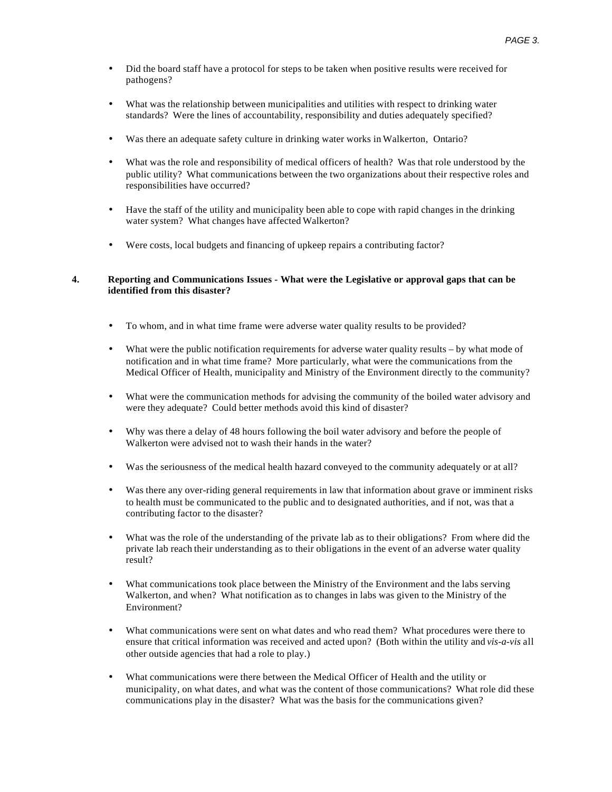- Did the board staff have a protocol for steps to be taken when positive results were received for pathogens?
- What was the relationship between municipalities and utilities with respect to drinking water standards? Were the lines of accountability, responsibility and duties adequately specified?
- Was there an adequate safety culture in drinking water works in Walkerton, Ontario?
- What was the role and responsibility of medical officers of health? Was that role understood by the public utility? What communications between the two organizations about their respective roles and responsibilities have occurred?
- Have the staff of the utility and municipality been able to cope with rapid changes in the drinking water system? What changes have affected Walkerton?
- Were costs, local budgets and financing of upkeep repairs a contributing factor?

## **4. Reporting and Communications Issues - What were the Legislative or approval gaps that can be identified from this disaster?**

- To whom, and in what time frame were adverse water quality results to be provided?
- What were the public notification requirements for adverse water quality results by what mode of notification and in what time frame? More particularly, what were the communications from the Medical Officer of Health, municipality and Ministry of the Environment directly to the community?
- What were the communication methods for advising the community of the boiled water advisory and were they adequate? Could better methods avoid this kind of disaster?
- Why was there a delay of 48 hours following the boil water advisory and before the people of Walkerton were advised not to wash their hands in the water?
- Was the seriousness of the medical health hazard conveyed to the community adequately or at all?
- Was there any over-riding general requirements in law that information about grave or imminent risks to health must be communicated to the public and to designated authorities, and if not, was that a contributing factor to the disaster?
- What was the role of the understanding of the private lab as to their obligations? From where did the private lab reach their understanding as to their obligations in the event of an adverse water quality result?
- What communications took place between the Ministry of the Environment and the labs serving Walkerton, and when? What notification as to changes in labs was given to the Ministry of the Environment?
- What communications were sent on what dates and who read them? What procedures were there to ensure that critical information was received and acted upon? (Both within the utility and *vis-a-vis* all other outside agencies that had a role to play.)
- What communications were there between the Medical Officer of Health and the utility or municipality, on what dates, and what was the content of those communications? What role did these communications play in the disaster? What was the basis for the communications given?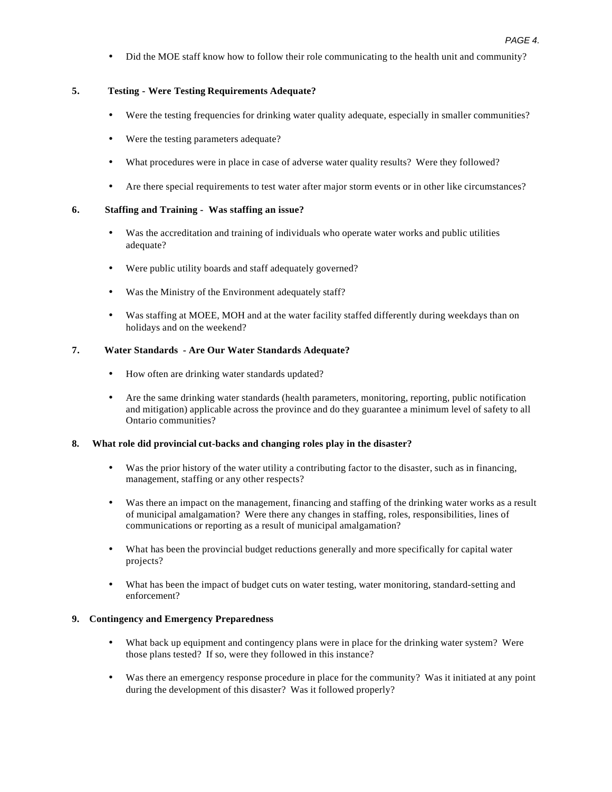• Did the MOE staff know how to follow their role communicating to the health unit and community?

# **5. Testing - Were Testing Requirements Adequate?**

- Were the testing frequencies for drinking water quality adequate, especially in smaller communities?
- Were the testing parameters adequate?
- What procedures were in place in case of adverse water quality results? Were they followed?
- Are there special requirements to test water after major storm events or in other like circumstances?

## **6. Staffing and Training - Was staffing an issue?**

- Was the accreditation and training of individuals who operate water works and public utilities adequate?
- Were public utility boards and staff adequately governed?
- Was the Ministry of the Environment adequately staff?
- Was staffing at MOEE, MOH and at the water facility staffed differently during weekdays than on holidays and on the weekend?

## **7. Water Standards - Are Our Water Standards Adequate?**

- How often are drinking water standards updated?
- Are the same drinking water standards (health parameters, monitoring, reporting, public notification and mitigation) applicable across the province and do they guarantee a minimum level of safety to all Ontario communities?

#### **8. What role did provincial cut-backs and changing roles play in the disaster?**

- Was the prior history of the water utility a contributing factor to the disaster, such as in financing, management, staffing or any other respects?
- Was there an impact on the management, financing and staffing of the drinking water works as a result of municipal amalgamation? Were there any changes in staffing, roles, responsibilities, lines of communications or reporting as a result of municipal amalgamation?
- What has been the provincial budget reductions generally and more specifically for capital water projects?
- What has been the impact of budget cuts on water testing, water monitoring, standard-setting and enforcement?

# **9. Contingency and Emergency Preparedness**

- What back up equipment and contingency plans were in place for the drinking water system? Were those plans tested? If so, were they followed in this instance?
- Was there an emergency response procedure in place for the community? Was it initiated at any point during the development of this disaster? Was it followed properly?